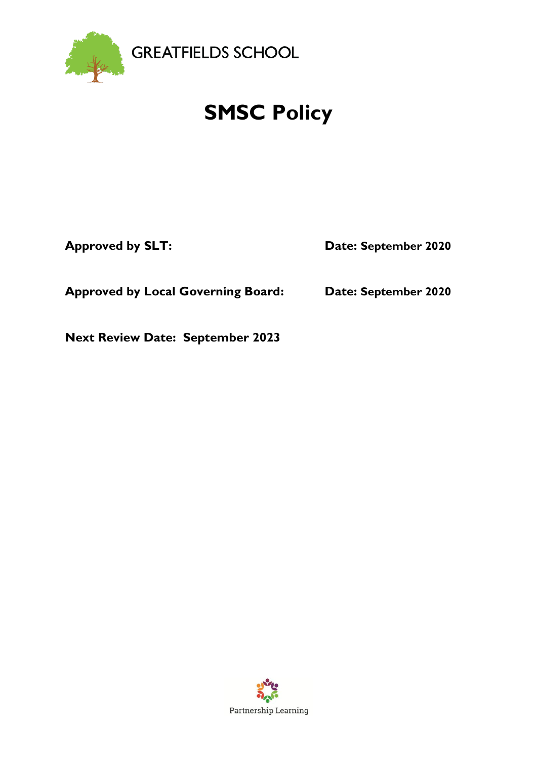

# **SMSC Policy**

**Approved by SLT: Date: September 2020**

**Approved by Local Governing Board: Date: September 2020**

**Next Review Date: September 2023**

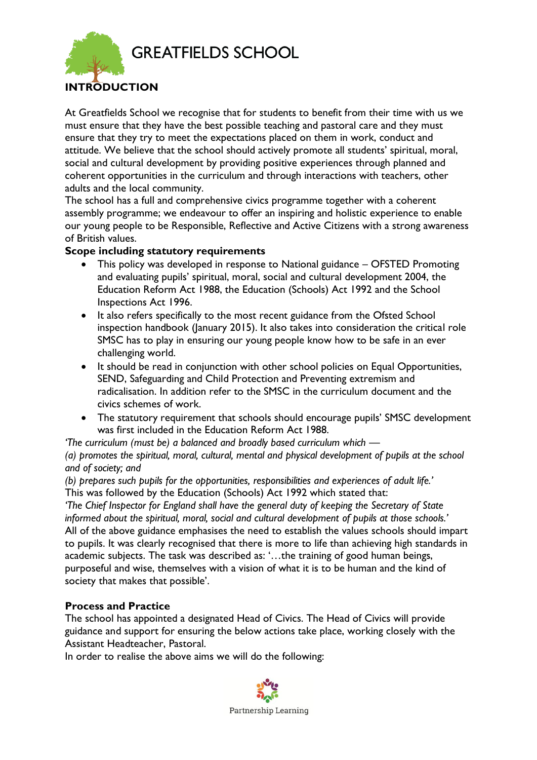

## **INTRODUCTION**

At Greatfields School we recognise that for students to benefit from their time with us we must ensure that they have the best possible teaching and pastoral care and they must ensure that they try to meet the expectations placed on them in work, conduct and attitude. We believe that the school should actively promote all students' spiritual, moral, social and cultural development by providing positive experiences through planned and coherent opportunities in the curriculum and through interactions with teachers, other adults and the local community.

The school has a full and comprehensive civics programme together with a coherent assembly programme; we endeavour to offer an inspiring and holistic experience to enable our young people to be Responsible, Reflective and Active Citizens with a strong awareness of British values.

### **Scope including statutory requirements**

- This policy was developed in response to National guidance OFSTED Promoting and evaluating pupils' spiritual, moral, social and cultural development 2004, the Education Reform Act 1988, the Education (Schools) Act 1992 and the School Inspections Act 1996.
- It also refers specifically to the most recent guidance from the Ofsted School inspection handbook (January 2015). It also takes into consideration the critical role SMSC has to play in ensuring our young people know how to be safe in an ever challenging world.
- It should be read in conjunction with other school policies on Equal Opportunities, SEND, Safeguarding and Child Protection and Preventing extremism and radicalisation. In addition refer to the SMSC in the curriculum document and the civics schemes of work.
- The statutory requirement that schools should encourage pupils' SMSC development was first included in the Education Reform Act 1988.

*'The curriculum (must be) a balanced and broadly based curriculum which — (a) promotes the spiritual, moral, cultural, mental and physical development of pupils at the school and of society; and*

*(b) prepares such pupils for the opportunities, responsibilities and experiences of adult life.'* This was followed by the Education (Schools) Act 1992 which stated that:

*'The Chief Inspector for England shall have the general duty of keeping the Secretary of State informed about the spiritual, moral, social and cultural development of pupils at those schools.'* All of the above guidance emphasises the need to establish the values schools should impart to pupils. It was clearly recognised that there is more to life than achieving high standards in academic subjects. The task was described as: '…the training of good human beings, purposeful and wise, themselves with a vision of what it is to be human and the kind of society that makes that possible'.

### **Process and Practice**

The school has appointed a designated Head of Civics. The Head of Civics will provide guidance and support for ensuring the below actions take place, working closely with the Assistant Headteacher, Pastoral.

In order to realise the above aims we will do the following: